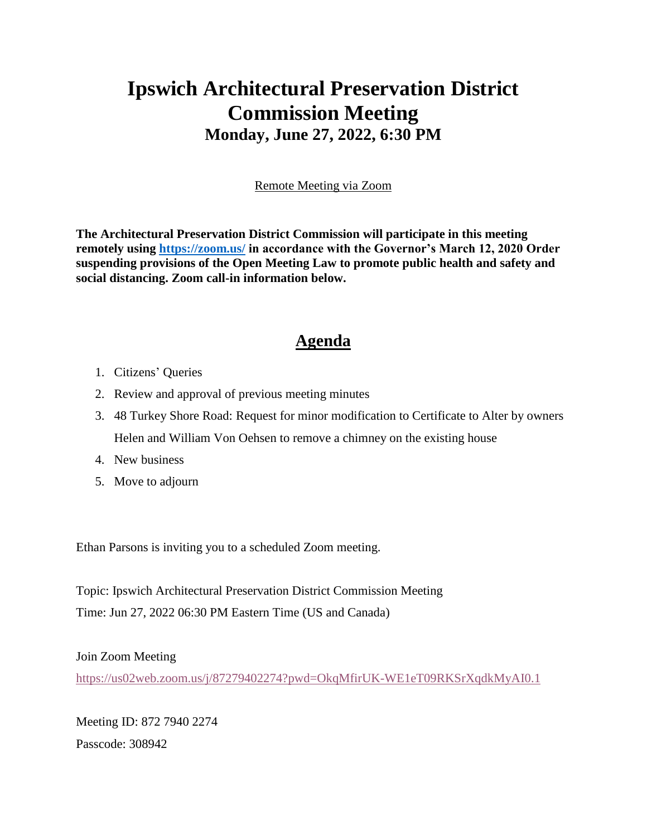## **Ipswich Architectural Preservation District Commission Meeting Monday, June 27, 2022, 6:30 PM**

Remote Meeting via Zoom

**The Architectural Preservation District Commission will participate in this meeting remotely using<https://zoom.us/> in accordance with the Governor's March 12, 2020 Order suspending provisions of the Open Meeting Law to promote public health and safety and social distancing. Zoom call-in information below.**

## **Agenda**

- 1. Citizens' Queries
- 2. Review and approval of previous meeting minutes
- 3. 48 Turkey Shore Road: Request for minor modification to Certificate to Alter by owners Helen and William Von Oehsen to remove a chimney on the existing house
- 4. New business
- 5. Move to adjourn

Ethan Parsons is inviting you to a scheduled Zoom meeting.

Topic: Ipswich Architectural Preservation District Commission Meeting Time: Jun 27, 2022 06:30 PM Eastern Time (US and Canada)

## Join Zoom Meeting

<https://us02web.zoom.us/j/87279402274?pwd=OkqMfirUK-WE1eT09RKSrXqdkMyAI0.1>

Meeting ID: 872 7940 2274 Passcode: 308942